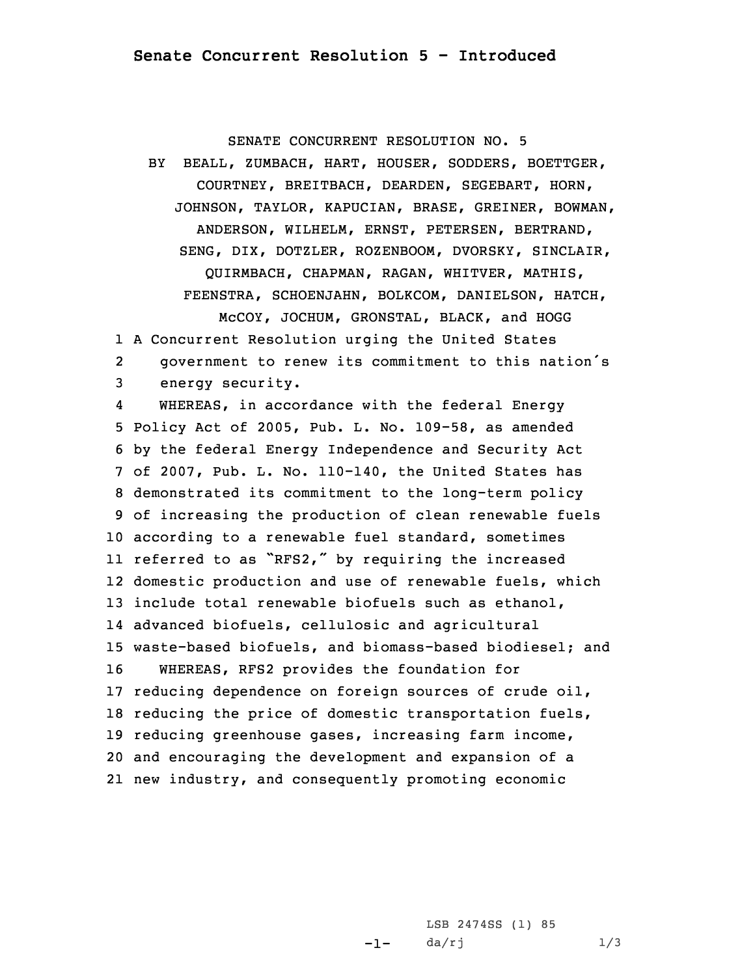SENATE CONCURRENT RESOLUTION NO. 5

BY BEALL, ZUMBACH, HART, HOUSER, SODDERS, BOETTGER, COURTNEY, BREITBACH, DEARDEN, SEGEBART, HORN, JOHNSON, TAYLOR, KAPUCIAN, BRASE, GREINER, BOWMAN, ANDERSON, WILHELM, ERNST, PETERSEN, BERTRAND, SENG, DIX, DOTZLER, ROZENBOOM, DVORSKY, SINCLAIR, QUIRMBACH, CHAPMAN, RAGAN, WHITVER, MATHIS, FEENSTRA, SCHOENJAHN, BOLKCOM, DANIELSON, HATCH, McCOY, JOCHUM, GRONSTAL, BLACK, and HOGG

1 <sup>A</sup> Concurrent Resolution urging the United States

2 government to renew its commitment to this nation's 3 energy security.

4 WHEREAS, in accordance with the federal Energy Policy Act of 2005, Pub. L. No. 109-58, as amended by the federal Energy Independence and Security Act of 2007, Pub. L. No. 110-140, the United States has demonstrated its commitment to the long-term policy of increasing the production of clean renewable fuels according to <sup>a</sup> renewable fuel standard, sometimes referred to as "RFS2," by requiring the increased domestic production and use of renewable fuels, which include total renewable biofuels such as ethanol, advanced biofuels, cellulosic and agricultural waste-based biofuels, and biomass-based biodiesel; and WHEREAS, RFS2 provides the foundation for reducing dependence on foreign sources of crude oil, reducing the price of domestic transportation fuels, reducing greenhouse gases, increasing farm income, and encouraging the development and expansion of <sup>a</sup> new industry, and consequently promoting economic

> -1-LSB 2474SS (1) 85  $da/rj$   $1/3$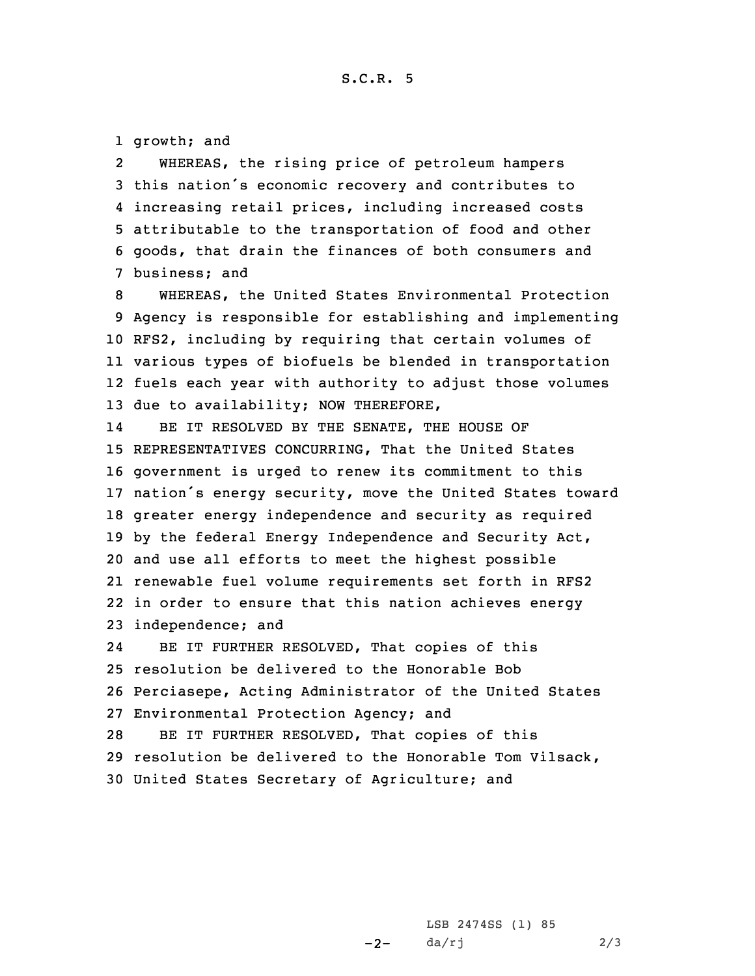1 growth; and

2 WHEREAS, the rising price of petroleum hampers this nation's economic recovery and contributes to increasing retail prices, including increased costs attributable to the transportation of food and other goods, that drain the finances of both consumers and business; and

 WHEREAS, the United States Environmental Protection Agency is responsible for establishing and implementing RFS2, including by requiring that certain volumes of various types of biofuels be blended in transportation fuels each year with authority to adjust those volumes due to availability; NOW THEREFORE,

14 BE IT RESOLVED BY THE SENATE, THE HOUSE OF REPRESENTATIVES CONCURRING, That the United States government is urged to renew its commitment to this nation's energy security, move the United States toward greater energy independence and security as required by the federal Energy Independence and Security Act, and use all efforts to meet the highest possible renewable fuel volume requirements set forth in RFS2 in order to ensure that this nation achieves energy independence; and

24 BE IT FURTHER RESOLVED, That copies of this resolution be delivered to the Honorable Bob Perciasepe, Acting Administrator of the United States Environmental Protection Agency; and BE IT FURTHER RESOLVED, That copies of this resolution be delivered to the Honorable Tom Vilsack, United States Secretary of Agriculture; and

> $-2-$ LSB 2474SS (1) 85  $da/rj$  2/3